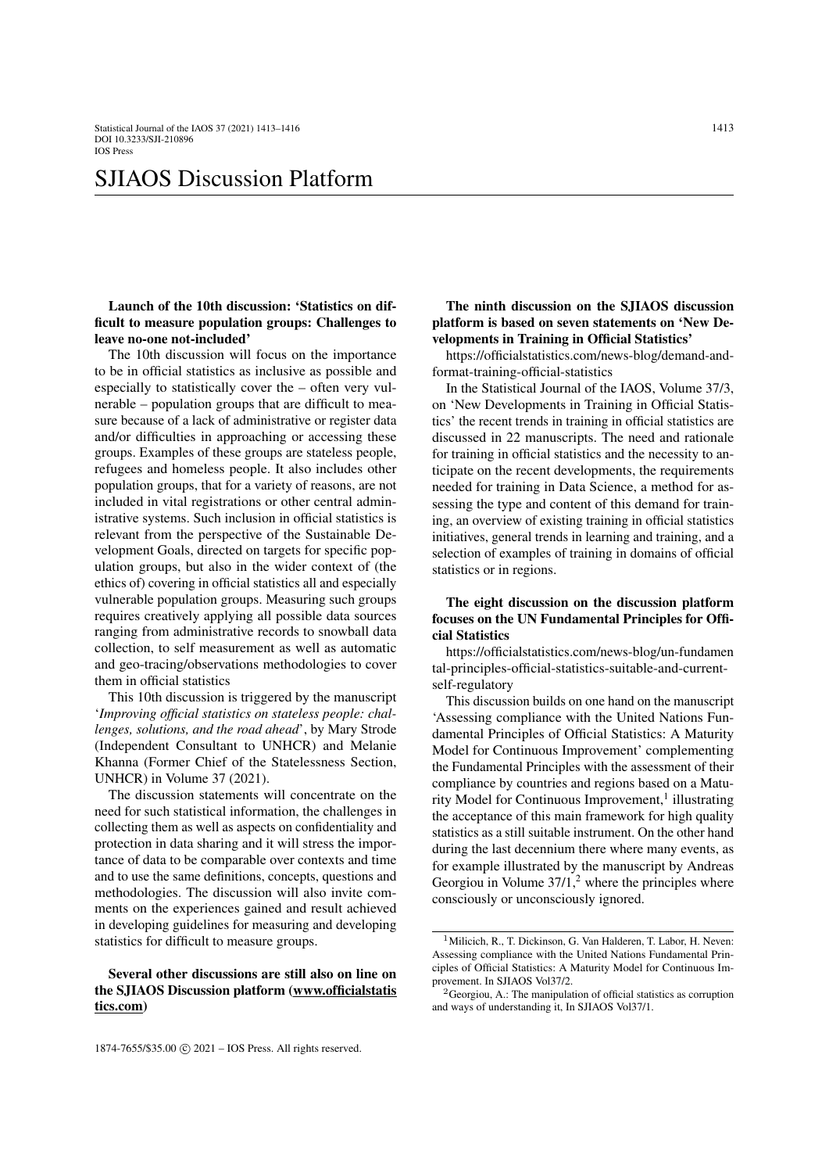# SJIAOS Discussion Platform

Launch of the 10th discussion: 'Statistics on difficult to measure population groups: Challenges to leave no-one not-included'

The 10th discussion will focus on the importance to be in official statistics as inclusive as possible and especially to statistically cover the – often very vulnerable – population groups that are difficult to measure because of a lack of administrative or register data and/or difficulties in approaching or accessing these groups. Examples of these groups are stateless people, refugees and homeless people. It also includes other population groups, that for a variety of reasons, are not included in vital registrations or other central administrative systems. Such inclusion in official statistics is relevant from the perspective of the Sustainable Development Goals, directed on targets for specific population groups, but also in the wider context of (the ethics of) covering in official statistics all and especially vulnerable population groups. Measuring such groups requires creatively applying all possible data sources ranging from administrative records to snowball data collection, to self measurement as well as automatic and geo-tracing/observations methodologies to cover them in official statistics

This 10th discussion is triggered by the manuscript '*Improving official statistics on stateless people: challenges, solutions, and the road ahead*', by Mary Strode (Independent Consultant to UNHCR) and Melanie Khanna (Former Chief of the Statelessness Section, UNHCR) in Volume 37 (2021).

The discussion statements will concentrate on the need for such statistical information, the challenges in collecting them as well as aspects on confidentiality and protection in data sharing and it will stress the importance of data to be comparable over contexts and time and to use the same definitions, concepts, questions and methodologies. The discussion will also invite comments on the experiences gained and result achieved in developing guidelines for measuring and developing statistics for difficult to measure groups.

#### Several other discussions are still also on line on the SJIAOS Discussion platform (www.officialstatis tics.com)

The ninth discussion on the SJIAOS discussion platform is based on seven statements on 'New Developments in Training in Official Statistics'

https://officialstatistics.com/news-blog/demand-andformat-training-official-statistics

In the Statistical Journal of the IAOS, Volume 37/3, on 'New Developments in Training in Official Statistics' the recent trends in training in official statistics are discussed in 22 manuscripts. The need and rationale for training in official statistics and the necessity to anticipate on the recent developments, the requirements needed for training in Data Science, a method for assessing the type and content of this demand for training, an overview of existing training in official statistics initiatives, general trends in learning and training, and a selection of examples of training in domains of official statistics or in regions.

## The eight discussion on the discussion platform focuses on the UN Fundamental Principles for Official Statistics

https://officialstatistics.com/news-blog/un-fundamen tal-principles-official-statistics-suitable-and-currentself-regulatory

This discussion builds on one hand on the manuscript 'Assessing compliance with the United Nations Fundamental Principles of Official Statistics: A Maturity Model for Continuous Improvement' complementing the Fundamental Principles with the assessment of their compliance by countries and regions based on a Matu-rity Model for Continuous Improvement,<sup>[1](#page-0-0)</sup> illustrating the acceptance of this main framework for high quality statistics as a still suitable instrument. On the other hand during the last decennium there where many events, as for example illustrated by the manuscript by Andreas Georgiou in Volume  $37/1$ ,<sup>[2](#page-0-1)</sup> where the principles where consciously or unconsciously ignored.

<span id="page-0-0"></span><sup>&</sup>lt;sup>1</sup> Milicich, R., T. Dickinson, G. Van Halderen, T. Labor, H. Neven: Assessing compliance with the United Nations Fundamental Principles of Official Statistics: A Maturity Model for Continuous Improvement. In SJIAOS Vol37/2.

<span id="page-0-1"></span><sup>&</sup>lt;sup>2</sup> Georgiou, A.: The manipulation of official statistics as corruption and ways of understanding it, In SJIAOS Vol37/1.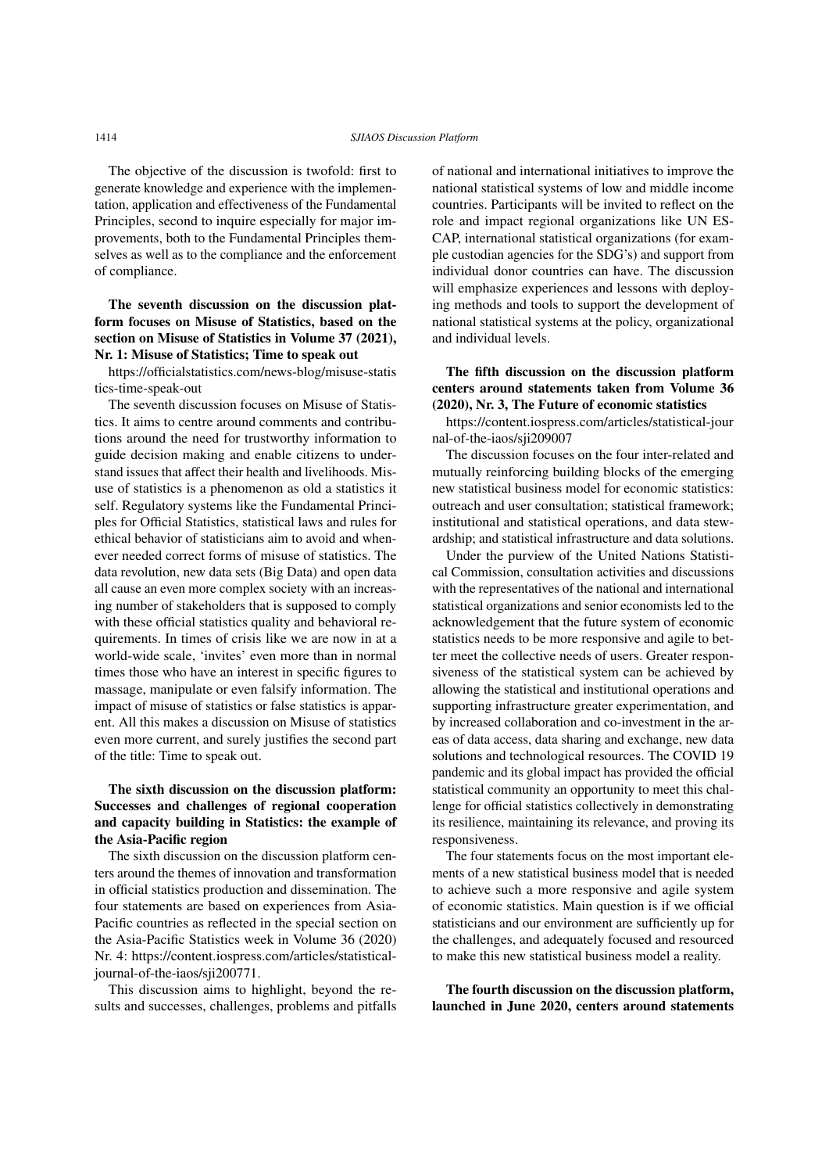The objective of the discussion is twofold: first to generate knowledge and experience with the implementation, application and effectiveness of the Fundamental Principles, second to inquire especially for major improvements, both to the Fundamental Principles themselves as well as to the compliance and the enforcement of compliance.

# The seventh discussion on the discussion platform focuses on Misuse of Statistics, based on the section on Misuse of Statistics in Volume 37 (2021), Nr. 1: Misuse of Statistics; Time to speak out

https://officialstatistics.com/news-blog/misuse-statis tics-time-speak-out

The seventh discussion focuses on Misuse of Statistics. It aims to centre around comments and contributions around the need for trustworthy information to guide decision making and enable citizens to understand issues that affect their health and livelihoods. Misuse of statistics is a phenomenon as old a statistics it self. Regulatory systems like the Fundamental Principles for Official Statistics, statistical laws and rules for ethical behavior of statisticians aim to avoid and whenever needed correct forms of misuse of statistics. The data revolution, new data sets (Big Data) and open data all cause an even more complex society with an increasing number of stakeholders that is supposed to comply with these official statistics quality and behavioral requirements. In times of crisis like we are now in at a world-wide scale, 'invites' even more than in normal times those who have an interest in specific figures to massage, manipulate or even falsify information. The impact of misuse of statistics or false statistics is apparent. All this makes a discussion on Misuse of statistics even more current, and surely justifies the second part of the title: Time to speak out.

# The sixth discussion on the discussion platform: Successes and challenges of regional cooperation and capacity building in Statistics: the example of the Asia-Pacific region

The sixth discussion on the discussion platform centers around the themes of innovation and transformation in official statistics production and dissemination. The four statements are based on experiences from Asia-Pacific countries as reflected in the special section on the Asia-Pacific Statistics week in Volume 36 (2020) Nr. 4: https://content.iospress.com/articles/statisticaljournal-of-the-iaos/sji200771.

This discussion aims to highlight, beyond the results and successes, challenges, problems and pitfalls of national and international initiatives to improve the national statistical systems of low and middle income countries. Participants will be invited to reflect on the role and impact regional organizations like UN ES-CAP, international statistical organizations (for example custodian agencies for the SDG's) and support from individual donor countries can have. The discussion will emphasize experiences and lessons with deploying methods and tools to support the development of national statistical systems at the policy, organizational and individual levels.

## The fifth discussion on the discussion platform centers around statements taken from Volume 36 (2020), Nr. 3, The Future of economic statistics

https://content.iospress.com/articles/statistical-jour nal-of-the-iaos/sji209007

The discussion focuses on the four inter-related and mutually reinforcing building blocks of the emerging new statistical business model for economic statistics: outreach and user consultation; statistical framework; institutional and statistical operations, and data stewardship; and statistical infrastructure and data solutions.

Under the purview of the United Nations Statistical Commission, consultation activities and discussions with the representatives of the national and international statistical organizations and senior economists led to the acknowledgement that the future system of economic statistics needs to be more responsive and agile to better meet the collective needs of users. Greater responsiveness of the statistical system can be achieved by allowing the statistical and institutional operations and supporting infrastructure greater experimentation, and by increased collaboration and co-investment in the areas of data access, data sharing and exchange, new data solutions and technological resources. The COVID 19 pandemic and its global impact has provided the official statistical community an opportunity to meet this challenge for official statistics collectively in demonstrating its resilience, maintaining its relevance, and proving its responsiveness.

The four statements focus on the most important elements of a new statistical business model that is needed to achieve such a more responsive and agile system of economic statistics. Main question is if we official statisticians and our environment are sufficiently up for the challenges, and adequately focused and resourced to make this new statistical business model a reality.

The fourth discussion on the discussion platform, launched in June 2020, centers around statements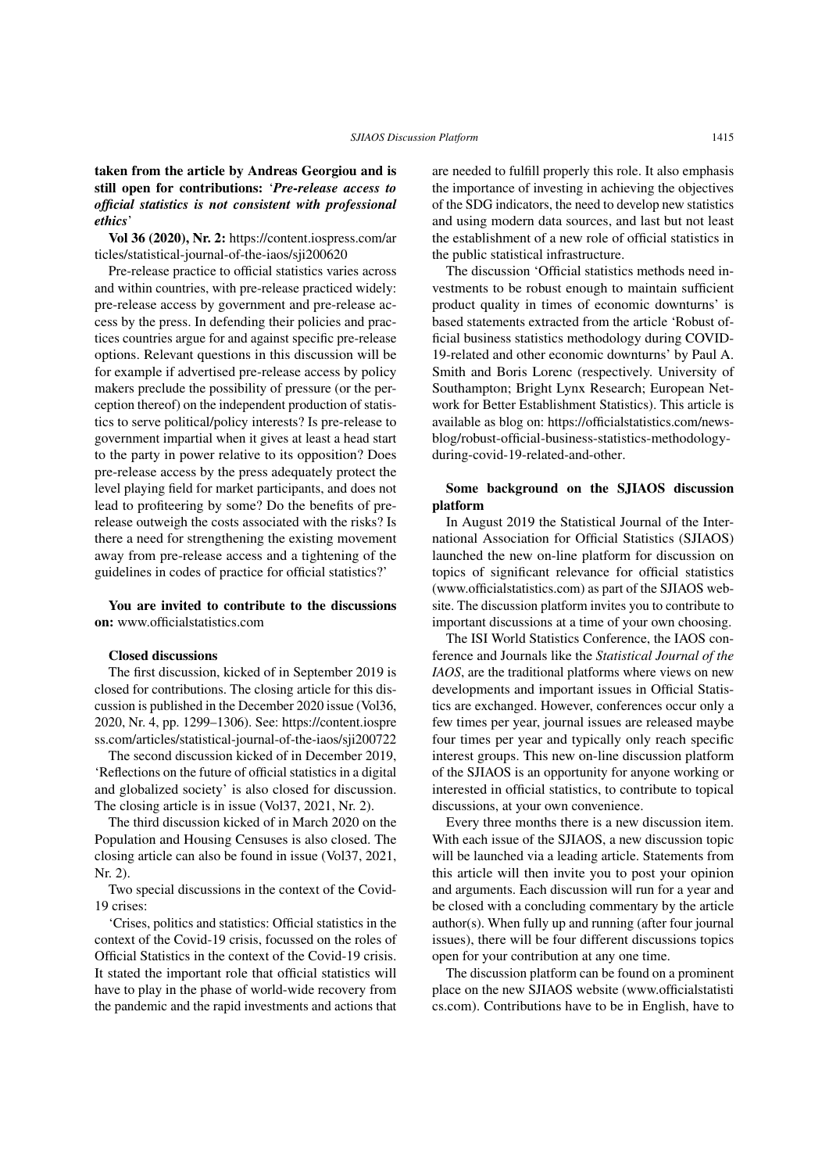#### taken from the article by Andreas Georgiou and is still open for contributions: '*Pre-release access to official statistics is not consistent with professional ethics*'

Vol 36 (2020), Nr. 2: https://content.iospress.com/ar ticles/statistical-journal-of-the-iaos/sji200620

Pre-release practice to official statistics varies across and within countries, with pre-release practiced widely: pre-release access by government and pre-release access by the press. In defending their policies and practices countries argue for and against specific pre-release options. Relevant questions in this discussion will be for example if advertised pre-release access by policy makers preclude the possibility of pressure (or the perception thereof) on the independent production of statistics to serve political/policy interests? Is pre-release to government impartial when it gives at least a head start to the party in power relative to its opposition? Does pre-release access by the press adequately protect the level playing field for market participants, and does not lead to profiteering by some? Do the benefits of prerelease outweigh the costs associated with the risks? Is there a need for strengthening the existing movement away from pre-release access and a tightening of the guidelines in codes of practice for official statistics?'

You are invited to contribute to the discussions on: www.officialstatistics.com

#### Closed discussions

The first discussion, kicked of in September 2019 is closed for contributions. The closing article for this discussion is published in the December 2020 issue (Vol36, 2020, Nr. 4, pp. 1299–1306). See: https://content.iospre ss.com/articles/statistical-journal-of-the-iaos/sji200722

The second discussion kicked of in December 2019, 'Reflections on the future of official statistics in a digital and globalized society' is also closed for discussion. The closing article is in issue (Vol37, 2021, Nr. 2).

The third discussion kicked of in March 2020 on the Population and Housing Censuses is also closed. The closing article can also be found in issue (Vol37, 2021, Nr. 2).

Two special discussions in the context of the Covid-19 crises:

'Crises, politics and statistics: Official statistics in the context of the Covid-19 crisis, focussed on the roles of Official Statistics in the context of the Covid-19 crisis. It stated the important role that official statistics will have to play in the phase of world-wide recovery from the pandemic and the rapid investments and actions that are needed to fulfill properly this role. It also emphasis the importance of investing in achieving the objectives of the SDG indicators, the need to develop new statistics and using modern data sources, and last but not least the establishment of a new role of official statistics in the public statistical infrastructure.

The discussion 'Official statistics methods need investments to be robust enough to maintain sufficient product quality in times of economic downturns' is based statements extracted from the article 'Robust official business statistics methodology during COVID-19-related and other economic downturns' by Paul A. Smith and Boris Lorenc (respectively. University of Southampton; Bright Lynx Research; European Network for Better Establishment Statistics). This article is available as blog on: https://officialstatistics.com/newsblog/robust-official-business-statistics-methodologyduring-covid-19-related-and-other.

#### Some background on the SJIAOS discussion platform

In August 2019 the Statistical Journal of the International Association for Official Statistics (SJIAOS) launched the new on-line platform for discussion on topics of significant relevance for official statistics (www.officialstatistics.com) as part of the SJIAOS website. The discussion platform invites you to contribute to important discussions at a time of your own choosing.

The ISI World Statistics Conference, the IAOS conference and Journals like the *Statistical Journal of the IAOS*, are the traditional platforms where views on new developments and important issues in Official Statistics are exchanged. However, conferences occur only a few times per year, journal issues are released maybe four times per year and typically only reach specific interest groups. This new on-line discussion platform of the SJIAOS is an opportunity for anyone working or interested in official statistics, to contribute to topical discussions, at your own convenience.

Every three months there is a new discussion item. With each issue of the SJIAOS, a new discussion topic will be launched via a leading article. Statements from this article will then invite you to post your opinion and arguments. Each discussion will run for a year and be closed with a concluding commentary by the article author(s). When fully up and running (after four journal issues), there will be four different discussions topics open for your contribution at any one time.

The discussion platform can be found on a prominent place on the new SJIAOS website (www.officialstatisti cs.com). Contributions have to be in English, have to